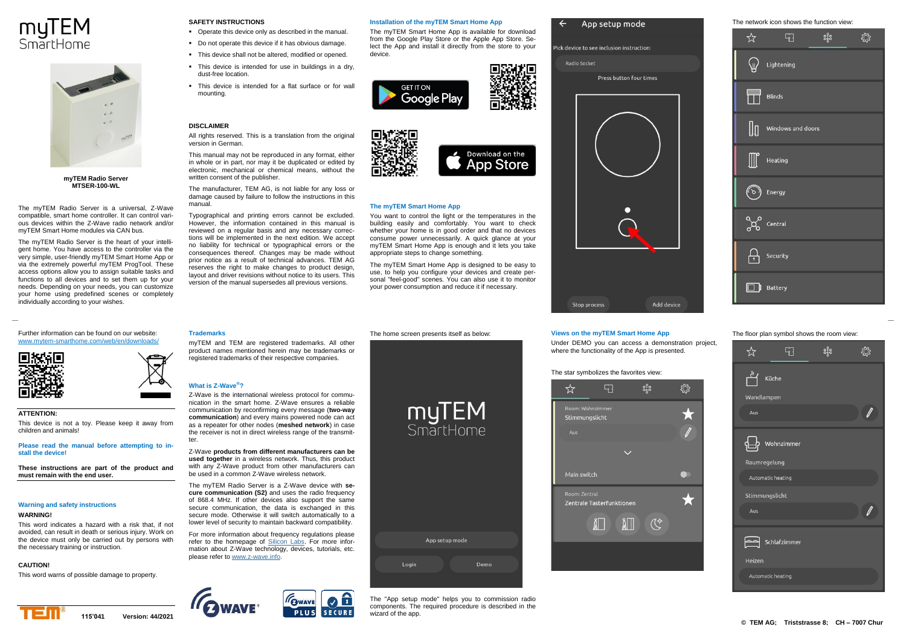# myTEM SmartHome



**myTEM Radio Server MTSER-100-WL**

The myTEM Radio Server is a universal, Z-Wave compatible, smart home controller. It can control various devices within the Z-Wave radio network and/or myTEM Smart Home modules via CAN bus.

The myTEM Radio Server is the heart of your intelligent home. You have access to the controller via the very simple, user-friendly myTEM Smart Home App or via the extremely powerful myTEM ProgTool. These access options allow you to assign suitable tasks and functions to all devices and to set them up for your needs. Depending on your needs, you can customize your home using predefined scenes or completely individually according to your wishes.

Further information can be found on our website: [www.mytem-smarthome.com/web/en/downloads/](http://www.mytem-smarthome.com/web/en/downloads/)



children and animals!



**ATTENTION:** This device is not a toy. Please keep it away from

**Please read the manual before attempting to install the device!**

**These instructions are part of the product and must remain with the end user.**

## **Warning and safety instructions**

## **WARNING!**

This word indicates a hazard with a risk that, if not avoided, can result in death or serious injury. Work on the device must only be carried out by persons with the necessary training or instruction.

## **CAUTION!**

This word warns of possible damage to property.

## Operate this device only as described in the manual.

- Do not operate this device if it has obvious damage
- This device shall not be altered, modified or opened.
- This device is intended for use in buildings in a dry, dust-free location.
- This device is intended for a flat surface or for wall mounting.

## **DISCLAIMER**

**Trademarks**

**What is Z-Wave®?**

ter.

**SAFETY INSTRUCTIONS**

All rights reserved. This is a translation from the original version in German.

This manual may not be reproduced in any format, either in whole or in part, nor may it be duplicated or edited by electronic, mechanical or chemical means, without the written consent of the publisher.

The manufacturer, TEM AG, is not liable for any loss or damage caused by failure to follow the instructions in this manual.

Typographical and printing errors cannot be excluded. However, the information contained in this manual is reviewed on a regular basis and any necessary corrections will be implemented in the next edition. We accept no liability for technical or typographical errors or the consequences thereof. Changes may be made without prior notice as a result of technical advances. TEM AG reserves the right to make changes to product design layout and driver revisions without notice to its users. This version of the manual supersedes all previous versions.

myTEM and TEM are registered trademarks. All other product names mentioned herein may be trademarks or registered trademarks of their respective companies.

Z-Wave is the international wireless protocol for communication in the smart home. Z-Wave ensures a reliable communication by reconfirming every message (**two-way communication**) and every mains powered node can act as a repeater for other nodes (**meshed network**) in case the receiver is not in direct wireless range of the transmit-

Z-Wave **products from different manufacturers can be used together** in a wireless network. Thus, this product with any Z-Wave product from other manufacturers can be used in a common Z-Wave wireless network. The myTEM Radio Server is a Z-Wave device with **secure communication (S2)** and uses the radio frequency of 868.4 MHz. If other devices also support the same secure communication, the data is exchanged in this secure mode. Otherwise it will switch automatically to a lower level of security to maintain backward compatibility. For more information about frequency regulations please refer to the homepage of [Silicon Labs.](https://www.silabs.com/products/wireless/mesh-networking/z-wave/benefits/technology/global-regions) For more information about Z-Wave technology, devices, tutorials, etc.

## **Installation of the myTEM Smart Home App**

The myTEM Smart Home App is available for download from the Google Play Store or the Apple App Store. Select the App and install it directly from the store to your device.





## **The myTEM Smart Home App**

You want to control the light or the temperatures in the building easily and comfortably. You want to check whether your home is in good order and that no devices consume power unnecessarily. A quick glance at your myTEM Smart Home App is enough and it lets you take appropriate steps to change something.

The myTEM Smart Home App is designed to be easy to use, to help you configure your devices and create personal "feel-good" scenes. You can also use it to monitor your power consumption and reduce it if necessary.

The home screen presents itself as below:

myTEM

SmartHome

# Stop process Add device

App setup mode

Press button four times

Pick device to see inclusion instruction:

Radio Socket

## **Views on the myTEM Smart Home App**

Under DEMO you can access a demonstration project, where the functionality of the App is presented.

## The star symbolizes the favorites view:



The network icon shows the function view:



## The floor plan symbol shows the room view:







please refer t[o www.z-wave.info.](http://www.z-wave.info/)

The "App setup mode" helps you to commission radio components. The required procedure is described in the wizard of the app.

Demo

App setup mode

Login